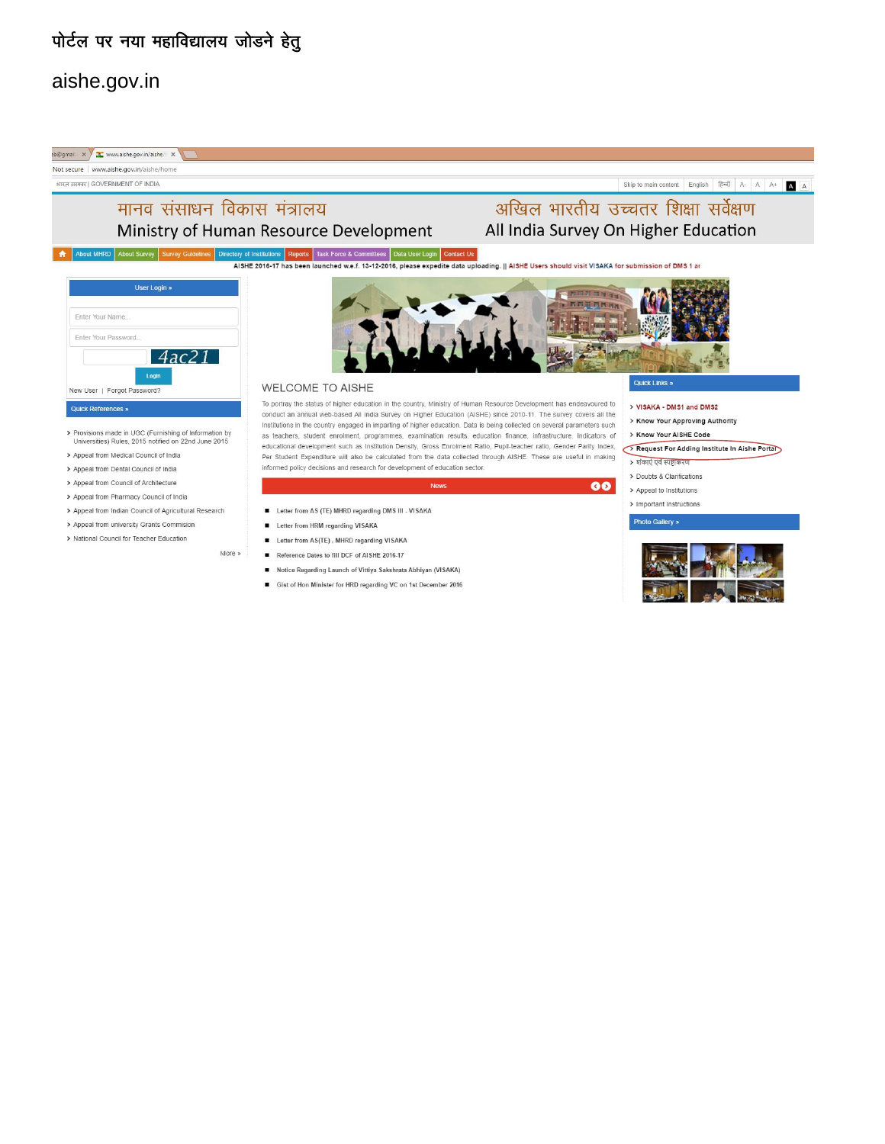# पोर्टल पर नया महाविद्यालय जोडने हेतु

## aishe.gov.in



- > Appeal from Pharmacy Council of India
- > Appeal from Indian Council of Agricultural Research
- > Appeal from university Grants Commision
- > National Council for Teacher Education

More »

- Letter from AS (TE) MHRD regarding DMS III VISAKA
- Letter from HRM regarding VISAKA
- Letter from AS(TE), MHRD regarding VISAKA
- Reference Dates to fill DCF of AISHE 2016-17
- Notice Regarding Launch of Vittiya Sakshrata Abhiyan (VISAKA)
- Gist of Hon Minister for HRD regarding VC on 1st December 2016
- > Appeal to Institutions
- > Important Instructions

#### Photo Gallery »

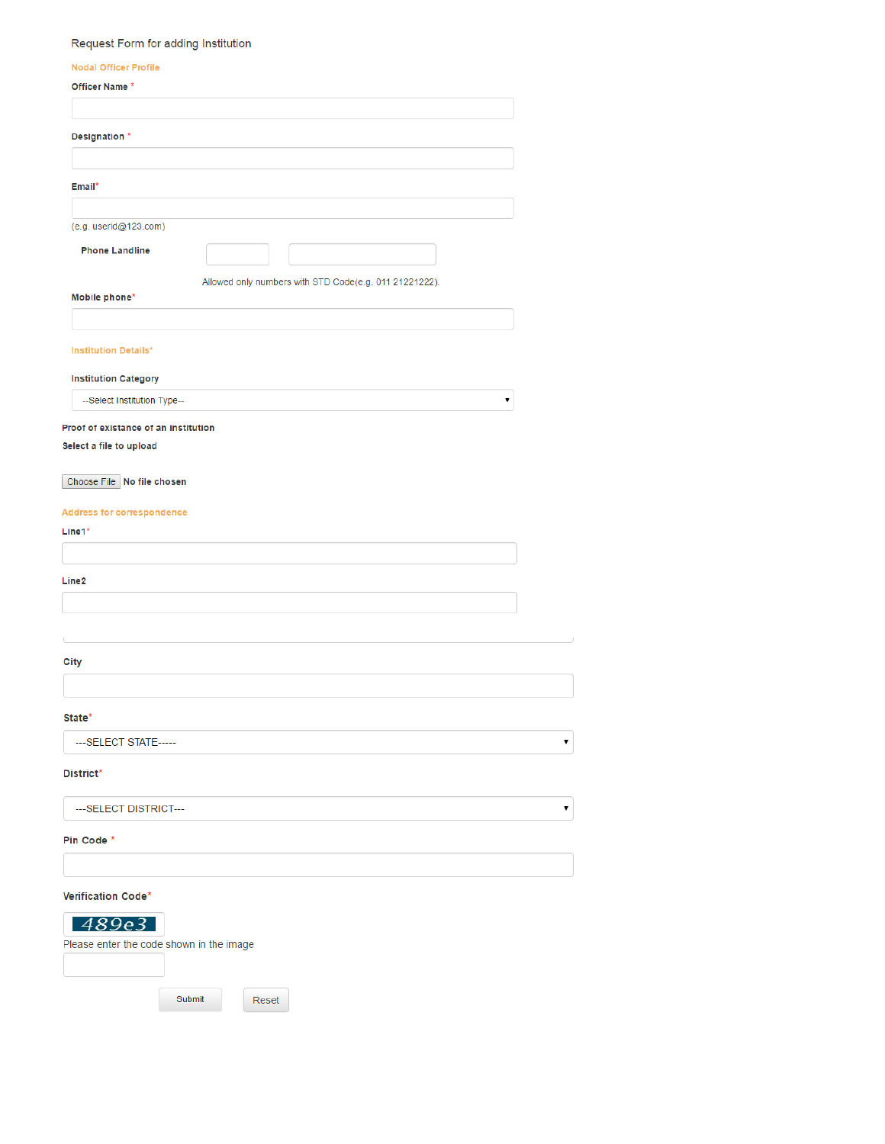## Request Form for adding Institution

| <b>Nodal Officer Profile</b>                |                                                        |
|---------------------------------------------|--------------------------------------------------------|
| Officer Name *                              |                                                        |
|                                             |                                                        |
| Designation *                               |                                                        |
|                                             |                                                        |
| Email*                                      |                                                        |
| (e.g. userid@123.com)                       |                                                        |
| <b>Phone Landline</b>                       |                                                        |
|                                             | Allowed only numbers with STD Code(e.g. 011 21221222). |
| Mobile phone*                               |                                                        |
|                                             |                                                        |
| <b>Institution Details*</b>                 |                                                        |
| <b>Institution Category</b>                 |                                                        |
| --Select Institution Type--                 |                                                        |
| Proof of existance of an institution        |                                                        |
| Select a file to upload                     |                                                        |
| Choose File   No file chosen                |                                                        |
|                                             |                                                        |
| <b>Address for correspondence</b><br>Line1* |                                                        |
|                                             |                                                        |
| Line2                                       |                                                        |
|                                             |                                                        |
|                                             |                                                        |
|                                             |                                                        |
| City                                        |                                                        |
|                                             |                                                        |
| State*                                      |                                                        |
| --- SELECT STATE-----                       |                                                        |
| District*                                   |                                                        |
| ---SELECT DISTRICT---                       |                                                        |
| Pin Code *                                  |                                                        |
|                                             |                                                        |
| Verification Code*                          |                                                        |
| 489e3                                       |                                                        |
| Please enter the code shown in the image    |                                                        |
|                                             |                                                        |

 $\textsf{Submit}$ 

Reset

 $\overline{\mathbf{v}}]$ 

 $\overline{\phantom{a}}$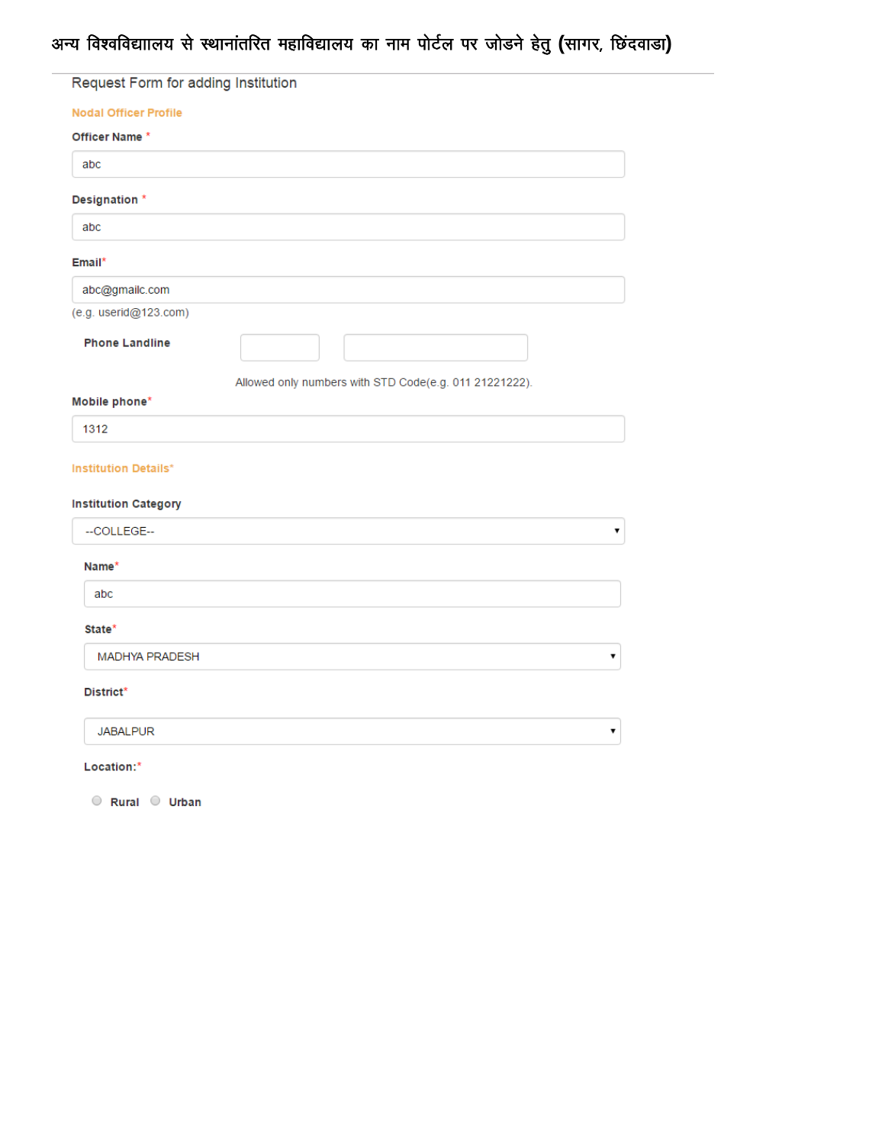# अन्य विश्वविद्याालय से स्थानांतरित महाविद्यालय का नाम पोर्टल पर जोडने हेतु (सागर, छिंदवाडा)

| Request Form for adding Institution |                                                        |
|-------------------------------------|--------------------------------------------------------|
| <b>Nodal Officer Profile</b>        |                                                        |
| Officer Name *                      |                                                        |
| abc                                 |                                                        |
| Designation *                       |                                                        |
| abc                                 |                                                        |
| Email*                              |                                                        |
| abc@gmailc.com                      |                                                        |
| (e.g. userid@123.com)               |                                                        |
| <b>Phone Landline</b>               |                                                        |
|                                     | Allowed only numbers with STD Code(e.g. 011 21221222). |
| Mobile phone*                       |                                                        |
| 1312                                |                                                        |
| <b>Institution Details*</b>         |                                                        |
| <b>Institution Category</b>         |                                                        |
| --COLLEGE--                         | 7                                                      |
| Name*                               |                                                        |
| abc                                 |                                                        |
| State*                              |                                                        |
| <b>MADHYA PRADESH</b>               | ▼                                                      |
| District*                           |                                                        |
| <b>JABALPUR</b>                     |                                                        |
| Location:*                          |                                                        |

 $\circ$  Rural  $\circ$  Urban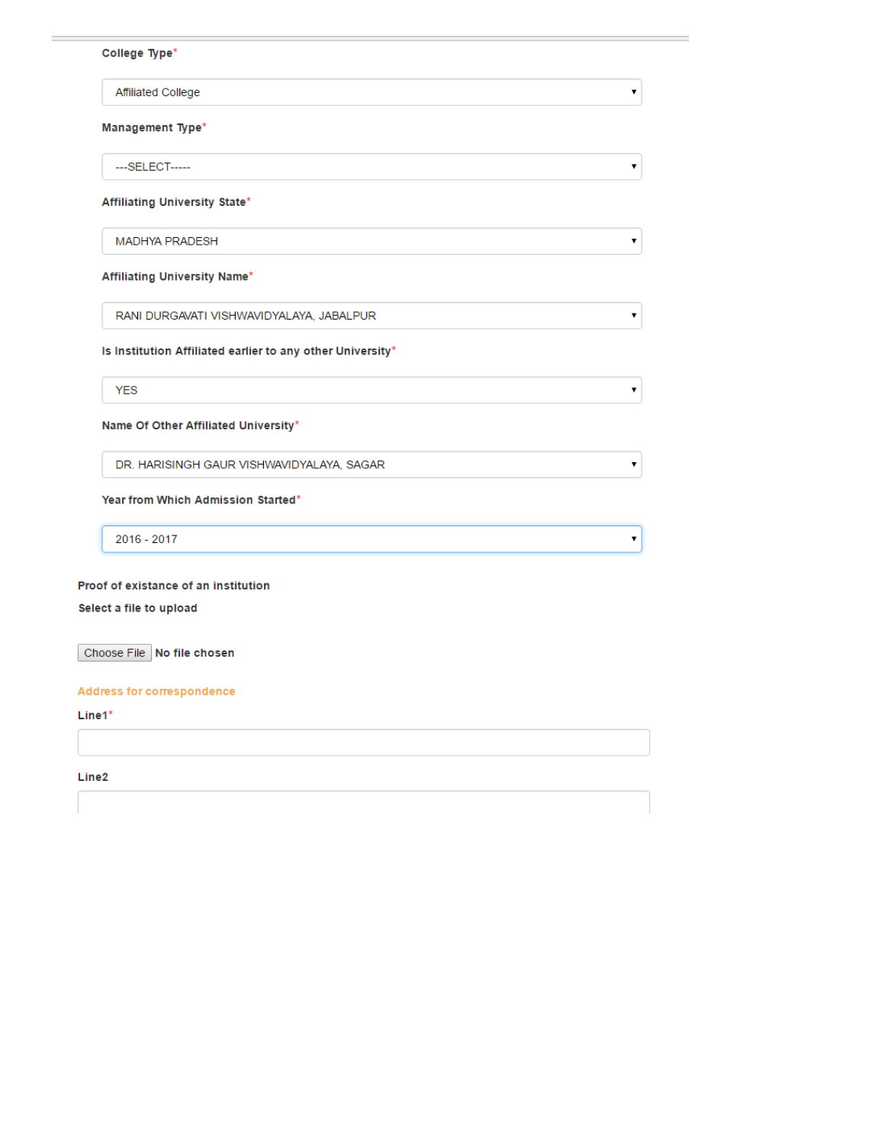| College Type*                                              |  |
|------------------------------------------------------------|--|
| Affiliated College                                         |  |
| Management Type*                                           |  |
| ---SELECT------                                            |  |
| Affiliating University State*                              |  |
| <b>MADHYA PRADESH</b>                                      |  |
| Affiliating University Name*                               |  |
| RANI DURGAVATI VISHWAVIDYALAYA, JABALPUR                   |  |
| Is Institution Affiliated earlier to any other University* |  |
| <b>YES</b>                                                 |  |
| Name Of Other Affiliated University*                       |  |
| DR. HARISINGH GAUR VISHWAVIDYALAYA, SAGAR                  |  |
| Year from Which Admission Started*                         |  |
| 2016 - 2017                                                |  |
|                                                            |  |
| Proof of existance of an institution                       |  |
| Select a file to upload                                    |  |
| Choose File No file chosen                                 |  |

 $\pmb{\mathrm{v}}$ 

 $\pmb{\mathrm{v}}$ 

 $\pmb{\mathrm{v}}$ 

 $\mathbf{v}$ 

 $\mathbf{v}$ 

 $\overline{\mathbf{r}}$ 

 $\left\vert \mathbf{v}\right\vert$ 

## Address for correspondence

 $Line1*$ 

÷  $\overline{\phantom{a}}$ 

Line2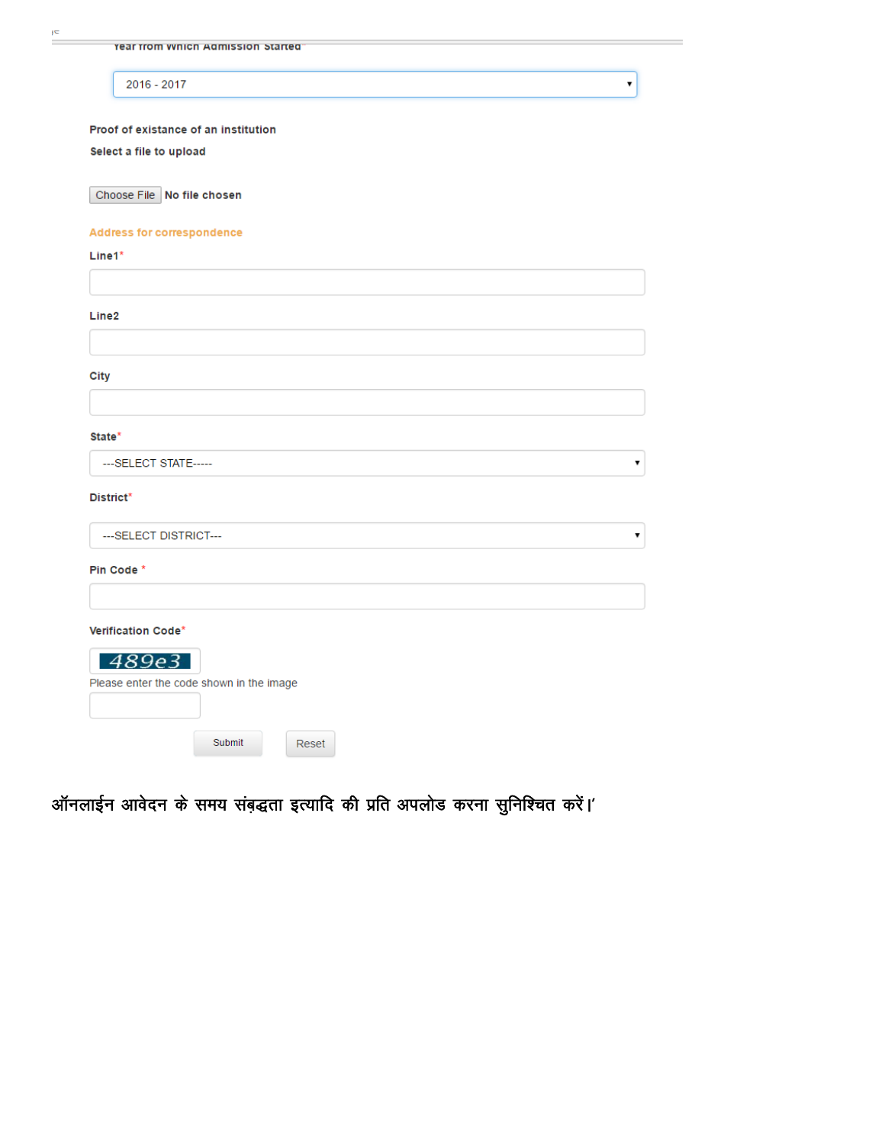|  | <b>Year from Which Admission Started</b> |  |
|--|------------------------------------------|--|

2016 - 2017

 $\frac{1}{\sqrt{2}}\int_{0}^{\sqrt{2}}\frac{1}{\sqrt{2}}\left( \frac{1}{\sqrt{2}}\right) \left( \frac{1}{\sqrt{2}}\right) \left( \frac{1}{\sqrt{2}}\right) \left( \frac{1}{\sqrt{2}}\right) \left( \frac{1}{\sqrt{2}}\right) \left( \frac{1}{\sqrt{2}}\right) \left( \frac{1}{\sqrt{2}}\right) \left( \frac{1}{\sqrt{2}}\right) \left( \frac{1}{\sqrt{2}}\right) \left( \frac{1}{\sqrt{2}}\right) \left( \frac{1}{\sqrt{2}}\right) \left( \frac{1}{\sqrt{2}}$ 

Proof of existance of an institution

#### Select a file to upload

Choose File No file chosen

#### **Address for correspondence**

Line1\* Line<sub>2</sub> **City** State\* ---SELECT STATE----- $\pmb{\mathrm{v}}$ District\* --- SELECT DISTRICT--- $\pmb{\mathrm{v}}$ Pin Code\* Verification Code\* 489e3 Please enter the code shown in the image Submit Reset

 $\pmb{\mathrm{v}}$ 

ऑनलाईन आवेदन के समय संबद्धता इत्यादि की प्रति अपलोड करना सुनिश्चित करें।'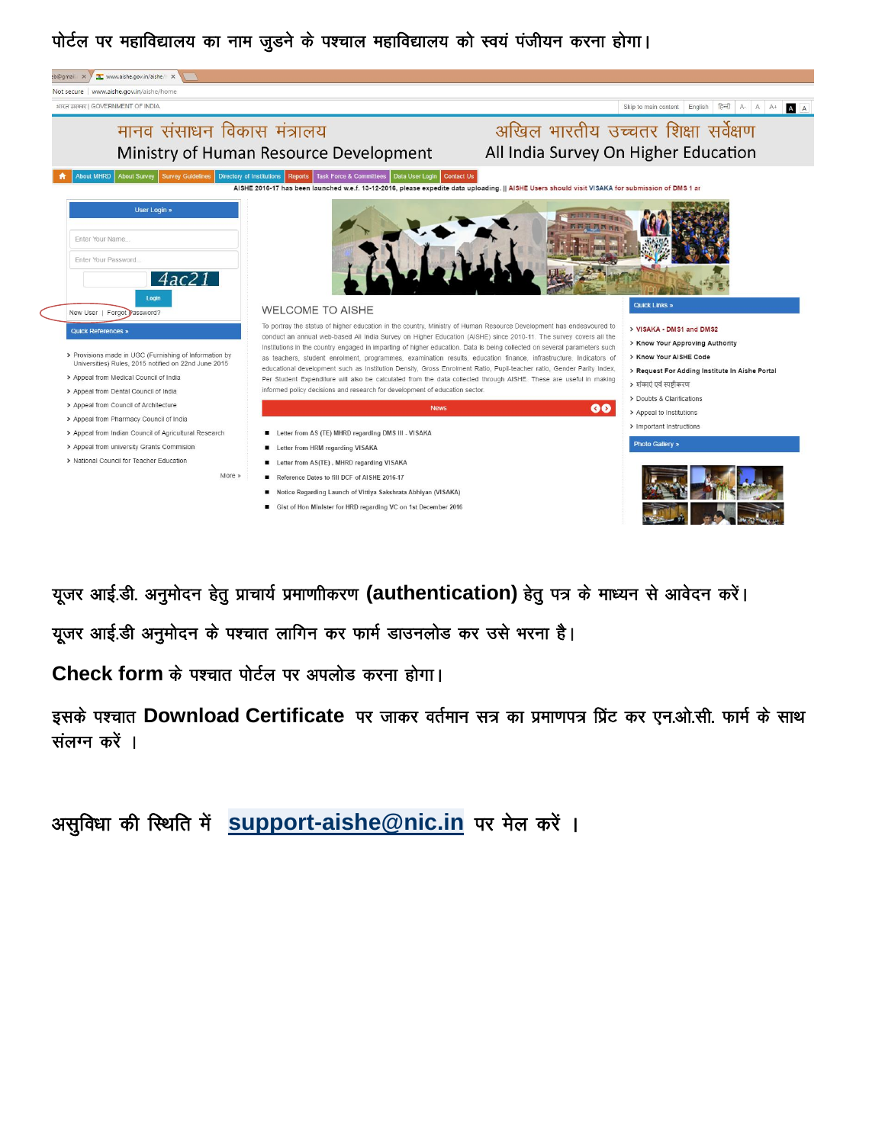# पोर्टल पर महाविद्यालय का नाम जुड़ने के पश्चाल महाविद्यालय को स्वयं पंजीयन करना होगा।



यूजर आई.डी. अनुमोदन हेतु प्राचार्य प्रमाणीकरण (authentication) हेतु पत्र के माध्यन से आवेदन करें।

यूजर आई.डी अनुमोदन के पश्चात लागिन कर फार्म डाउनलोड कर उसे भरना है।

Check form के पश्चात पोर्टल पर अपलोड करना होगा।

इसके पश्चात Download Certificate पर जाकर वर्तमान सत्र का प्रमाणपत्र प्रिंट कर एन.ओ.सी. फार्म के साथ संलग्न करें ।

असुविधा की स्थिति में **support-aishe@nic.in** पर मेल करें ।